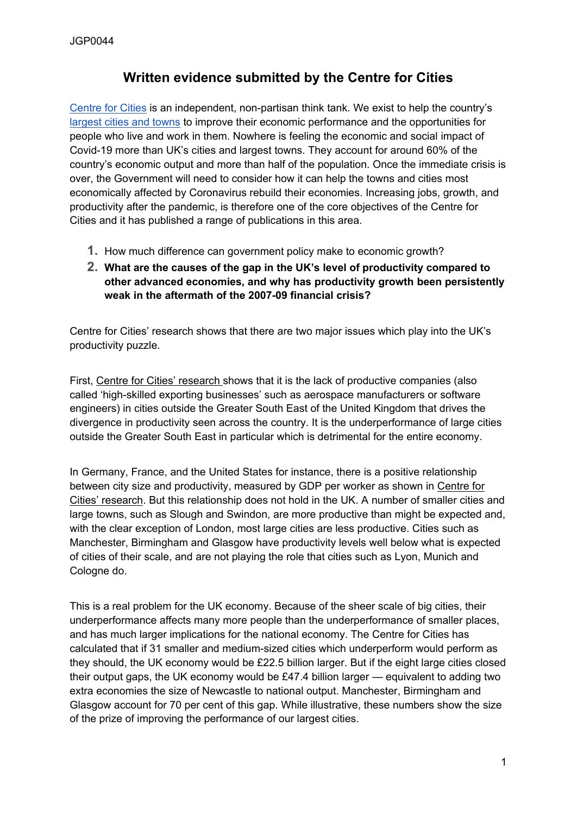## **Written evidence submitted by the Centre for Cities**

[Centre](https://www.centreforcities.org/) [for](https://www.centreforcities.org/) [Cities](https://www.centreforcities.org/) is an independent, non-partisan think tank. We exist to help the country's [largest](https://www.centreforcities.org/city-by-city/puas/) [cities](https://www.centreforcities.org/city-by-city/puas/) [and](https://www.centreforcities.org/city-by-city/puas/) [towns](https://www.centreforcities.org/city-by-city/puas/) to improve their economic performance and the opportunities for people who live and work in them. Nowhere is feeling the economic and social impact of Covid-19 more than UK's cities and largest towns. They account for around 60% of the country's economic output and more than half of the population. Once the immediate crisis is over, the Government will need to consider how it can help the towns and cities most economically affected by Coronavirus rebuild their economies. Increasing jobs, growth, and productivity after the pandemic, is therefore one of the core objectives of the Centre for Cities and it has published a range of publications in this area.

- **1.** How much difference can government policy make to economic growth?
- **2. What are the causes of the gap in the UK's level of productivity compared to other advanced economies, and why has productivity growth been persistently weak in the aftermath of the 2007-09 financial crisis?**

Centre for Cities' research shows that there are two major issues which play into the UK's productivity puzzle.

First, [Centre](https://www.centreforcities.org/wp-content/uploads/2018/05/2018-06-05-The-wrong-tail.pdf) [for](https://www.centreforcities.org/wp-content/uploads/2018/05/2018-06-05-The-wrong-tail.pdf) [Cities'](https://www.centreforcities.org/wp-content/uploads/2018/05/2018-06-05-The-wrong-tail.pdf) [research](https://www.centreforcities.org/wp-content/uploads/2018/05/2018-06-05-The-wrong-tail.pdf) shows that it is the lack of productive companies (also called 'high-skilled exporting businesses' such as aerospace manufacturers or software engineers) in cities outside the Greater South East of the United Kingdom that drives the divergence in productivity seen across the country. It is the underperformance of large cities outside the Greater South East in particular which is detrimental for the entire economy.

In Germany, France, and the United States for instance, there is a positive relationship between city size and productivity, measured by GDP per worker as shown in [Centre](https://www.centreforcities.org/wp-content/uploads/2020/02/Why-big-cities-are-crucial-to-levelling-up.pdf) [for](https://www.centreforcities.org/wp-content/uploads/2020/02/Why-big-cities-are-crucial-to-levelling-up.pdf) [Cities'](https://www.centreforcities.org/wp-content/uploads/2020/02/Why-big-cities-are-crucial-to-levelling-up.pdf) [research.](https://www.centreforcities.org/wp-content/uploads/2020/02/Why-big-cities-are-crucial-to-levelling-up.pdf) But this relationship does not hold in the UK. A number of smaller cities and large towns, such as Slough and Swindon, are more productive than might be expected and, with the clear exception of London, most large cities are less productive. Cities such as Manchester, Birmingham and Glasgow have productivity levels well below what is expected of cities of their scale, and are not playing the role that cities such as Lyon, Munich and Cologne do.

This is a real problem for the UK economy. Because of the sheer scale of big cities, their underperformance affects many more people than the underperformance of smaller places, and has much larger implications for the national economy. The Centre for Cities has calculated that if 31 smaller and medium-sized cities which underperform would perform as they should, the UK economy would be £22.5 billion larger. But if the eight large cities closed their output gaps, the UK economy would be £47.4 billion larger — equivalent to adding two extra economies the size of Newcastle to national output. Manchester, Birmingham and Glasgow account for 70 per cent of this gap. While illustrative, these numbers show the size of the prize of improving the performance of our largest cities.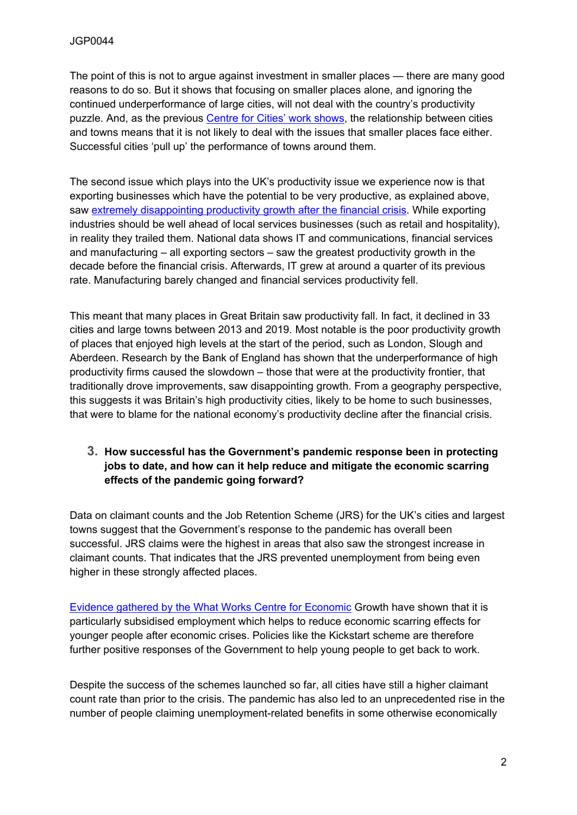The point of this is not to argue against investment in smaller places — there are many good reasons to do so. But it shows that focusing on smaller places alone, and ignoring the continued underperformance of large cities, will not deal with the country's productivity puzzle. And, as the previous [Centre](https://www.centreforcities.org/wp-content/uploads/2018/09/18-10-04-Talk-of-the-Town.pdf) [for](https://www.centreforcities.org/wp-content/uploads/2018/09/18-10-04-Talk-of-the-Town.pdf) [Cities'](https://www.centreforcities.org/wp-content/uploads/2018/09/18-10-04-Talk-of-the-Town.pdf) [work](https://www.centreforcities.org/wp-content/uploads/2018/09/18-10-04-Talk-of-the-Town.pdf) [shows,](https://www.centreforcities.org/wp-content/uploads/2018/09/18-10-04-Talk-of-the-Town.pdf) the relationship between cities and towns means that it is not likely to deal with the issues that smaller places face either. Successful cities 'pull up' the performance of towns around them.

The second issue which plays into the UK's productivity issue we experience now is that exporting businesses which have the potential to be very productive, as explained above, saw [extremely](https://www.centreforcities.org/wp-content/uploads/2021/03/Building-Back-Better-How-to-recover-from-Covid-19.pdf) [disappointing](https://www.centreforcities.org/wp-content/uploads/2021/03/Building-Back-Better-How-to-recover-from-Covid-19.pdf) [productivity](https://www.centreforcities.org/wp-content/uploads/2021/03/Building-Back-Better-How-to-recover-from-Covid-19.pdf) [growth](https://www.centreforcities.org/wp-content/uploads/2021/03/Building-Back-Better-How-to-recover-from-Covid-19.pdf) [after](https://www.centreforcities.org/wp-content/uploads/2021/03/Building-Back-Better-How-to-recover-from-Covid-19.pdf) [the](https://www.centreforcities.org/wp-content/uploads/2021/03/Building-Back-Better-How-to-recover-from-Covid-19.pdf) [financial](https://www.centreforcities.org/wp-content/uploads/2021/03/Building-Back-Better-How-to-recover-from-Covid-19.pdf) [crisis.](https://www.centreforcities.org/wp-content/uploads/2021/03/Building-Back-Better-How-to-recover-from-Covid-19.pdf) While exporting industries should be well ahead of local services businesses (such as retail and hospitality), in reality they trailed them. National data shows IT and communications, financial services and manufacturing – all exporting sectors – saw the greatest productivity growth in the decade before the financial crisis. Afterwards, IT grew at around a quarter of its previous rate. Manufacturing barely changed and financial services productivity fell.

This meant that many places in Great Britain saw productivity fall. In fact, it declined in 33 cities and large towns between 2013 and 2019. Most notable is the poor productivity growth of places that enjoyed high levels at the start of the period, such as London, Slough and Aberdeen. Research by the Bank of England has shown that the underperformance of high productivity firms caused the slowdown – those that were at the productivity frontier, that traditionally drove improvements, saw disappointing growth. From a geography perspective, this suggests it was Britain's high productivity cities, likely to be home to such businesses, that were to blame for the national economy's productivity decline after the financial crisis.

## **3. How successful has the Government's pandemic response been in protecting jobs to date, and how can it help reduce and mitigate the economic scarring effects of the pandemic going forward?**

Data on claimant counts and the Job Retention Scheme (JRS) for the UK's cities and largest towns suggest that the Government's response to the pandemic has overall been successful. JRS claims were the highest in areas that also saw the strongest increase in claimant counts. That indicates that the JRS prevented unemployment from being even higher in these strongly affected places.

[Evidence](https://whatworksgrowth.org/public/files/Policy_Reviews/COVID_19_Local_responses_to_Youth_Scarring.pdf) [gathered](https://whatworksgrowth.org/public/files/Policy_Reviews/COVID_19_Local_responses_to_Youth_Scarring.pdf) [by](https://whatworksgrowth.org/public/files/Policy_Reviews/COVID_19_Local_responses_to_Youth_Scarring.pdf) [the](https://whatworksgrowth.org/public/files/Policy_Reviews/COVID_19_Local_responses_to_Youth_Scarring.pdf) [What](https://whatworksgrowth.org/public/files/Policy_Reviews/COVID_19_Local_responses_to_Youth_Scarring.pdf) [Works](https://whatworksgrowth.org/public/files/Policy_Reviews/COVID_19_Local_responses_to_Youth_Scarring.pdf) [Centre](https://whatworksgrowth.org/public/files/Policy_Reviews/COVID_19_Local_responses_to_Youth_Scarring.pdf) [for](https://whatworksgrowth.org/public/files/Policy_Reviews/COVID_19_Local_responses_to_Youth_Scarring.pdf) [Economic](https://whatworksgrowth.org/public/files/Policy_Reviews/COVID_19_Local_responses_to_Youth_Scarring.pdf) Growth have shown that it is particularly subsidised employment which helps to reduce economic scarring effects for younger people after economic crises. Policies like the Kickstart scheme are therefore further positive responses of the Government to help young people to get back to work.

Despite the success of the schemes launched so far, all cities have still a higher claimant count rate than prior to the crisis. The pandemic has also led to an unprecedented rise in the number of people claiming unemployment-related benefits in some otherwise economically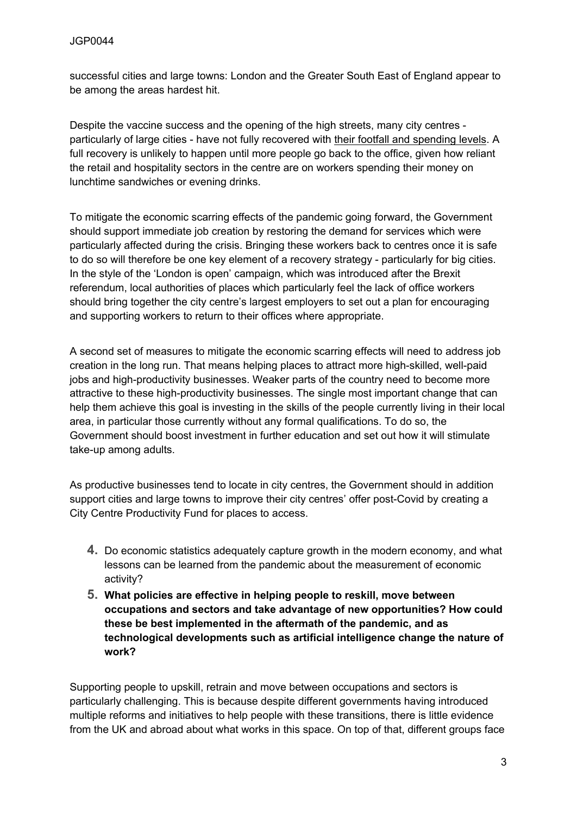successful cities and large towns: London and the Greater South East of England appear to be among the areas hardest hit.

Despite the vaccine success and the opening of the high streets, many city centres particularly of large cities - have not fully recovered with [their](https://www.centreforcities.org/blog/how-are-city-centres-recovering-from-the-long-winter-lockdown/) [footfall](https://www.centreforcities.org/blog/how-are-city-centres-recovering-from-the-long-winter-lockdown/) [and](https://www.centreforcities.org/blog/how-are-city-centres-recovering-from-the-long-winter-lockdown/) [spending](https://www.centreforcities.org/blog/how-are-city-centres-recovering-from-the-long-winter-lockdown/) levels. A full recovery is unlikely to happen until more people go back to the office, given how reliant the retail and hospitality sectors in the centre are on workers spending their money on lunchtime sandwiches or evening drinks.

To mitigate the economic scarring effects of the pandemic going forward, the Government should support immediate job creation by restoring the demand for services which were particularly affected during the crisis. Bringing these workers back to centres once it is safe to do so will therefore be one key element of a recovery strategy - particularly for big cities. In the style of the 'London is open' campaign, which was introduced after the Brexit referendum, local authorities of places which particularly feel the lack of office workers should bring together the city centre's largest employers to set out a plan for encouraging and supporting workers to return to their offices where appropriate.

A second set of measures to mitigate the economic scarring effects will need to address job creation in the long run. That means helping places to attract more high-skilled, well-paid jobs and high-productivity businesses. Weaker parts of the country need to become more attractive to these high-productivity businesses. The single most important change that can help them achieve this goal is investing in the skills of the people currently living in their local area, in particular those currently without any formal qualifications. To do so, the Government should boost investment in further education and set out how it will stimulate take-up among adults.

As productive businesses tend to locate in city centres, the Government should in addition support cities and large towns to improve their city centres' offer post-Covid by creating a City Centre Productivity Fund for places to access.

- **4.** Do economic statistics adequately capture growth in the modern economy, and what lessons can be learned from the pandemic about the measurement of economic activity?
- **5. What policies are effective in helping people to reskill, move between occupations and sectors and take advantage of new opportunities? How could these be best implemented in the aftermath of the pandemic, and as technological developments such as artificial intelligence change the nature of work?**

Supporting people to upskill, retrain and move between occupations and sectors is particularly challenging. This is because despite different governments having introduced multiple reforms and initiatives to help people with these transitions, there is little evidence from the UK and abroad about what works in this space. On top of that, different groups face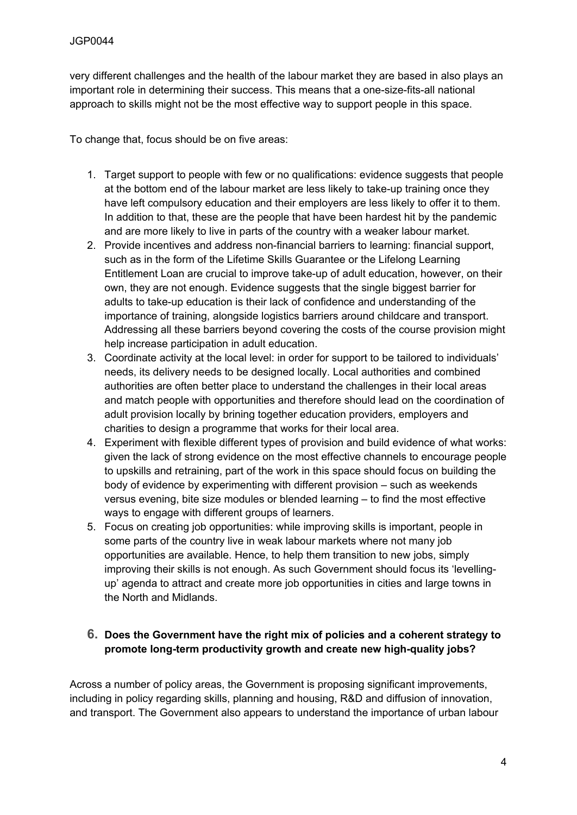very different challenges and the health of the labour market they are based in also plays an important role in determining their success. This means that a one-size-fits-all national approach to skills might not be the most effective way to support people in this space.

To change that, focus should be on five areas:

- 1. Target support to people with few or no qualifications: evidence suggests that people at the bottom end of the labour market are less likely to take-up training once they have left compulsory education and their employers are less likely to offer it to them. In addition to that, these are the people that have been hardest hit by the pandemic and are more likely to live in parts of the country with a weaker labour market.
- 2. Provide incentives and address non-financial barriers to learning: financial support, such as in the form of the Lifetime Skills Guarantee or the Lifelong Learning Entitlement Loan are crucial to improve take-up of adult education, however, on their own, they are not enough. Evidence suggests that the single biggest barrier for adults to take-up education is their lack of confidence and understanding of the importance of training, alongside logistics barriers around childcare and transport. Addressing all these barriers beyond covering the costs of the course provision might help increase participation in adult education.
- 3. Coordinate activity at the local level: in order for support to be tailored to individuals' needs, its delivery needs to be designed locally. Local authorities and combined authorities are often better place to understand the challenges in their local areas and match people with opportunities and therefore should lead on the coordination of adult provision locally by brining together education providers, employers and charities to design a programme that works for their local area.
- 4. Experiment with flexible different types of provision and build evidence of what works: given the lack of strong evidence on the most effective channels to encourage people to upskills and retraining, part of the work in this space should focus on building the body of evidence by experimenting with different provision – such as weekends versus evening, bite size modules or blended learning – to find the most effective ways to engage with different groups of learners.
- 5. Focus on creating job opportunities: while improving skills is important, people in some parts of the country live in weak labour markets where not many job opportunities are available. Hence, to help them transition to new jobs, simply improving their skills is not enough. As such Government should focus its 'levellingup' agenda to attract and create more job opportunities in cities and large towns in the North and Midlands.

## **6. Does the Government have the right mix of policies and a coherent strategy to promote long-term productivity growth and create new high-quality jobs?**

Across a number of policy areas, the Government is proposing significant improvements, including in policy regarding skills, planning and housing, R&D and diffusion of innovation, and transport. The Government also appears to understand the importance of urban labour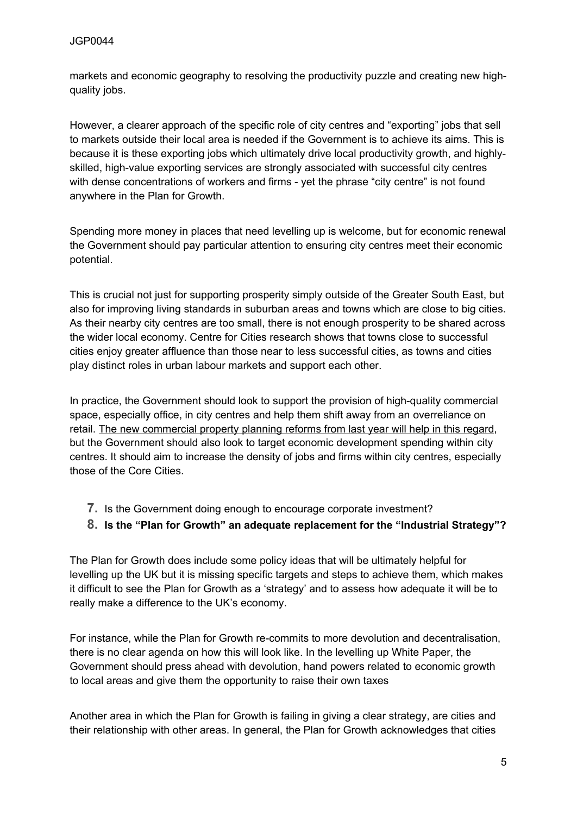markets and economic geography to resolving the productivity puzzle and creating new highquality jobs.

However, a clearer approach of the specific role of city centres and "exporting" jobs that sell to markets outside their local area is needed if the Government is to achieve its aims. This is because it is these exporting jobs which ultimately drive local productivity growth, and highlyskilled, high-value exporting services are strongly associated with successful city centres with dense concentrations of workers and firms - yet the phrase "city centre" is not found anywhere in the Plan for Growth.

Spending more money in places that need levelling up is welcome, but for economic renewal the Government should pay particular attention to ensuring city centres meet their economic potential.

This is crucial not just for supporting prosperity simply outside of the Greater South East, but also for improving living standards in suburban areas and towns which are close to big cities. As their nearby city centres are too small, there is not enough prosperity to be shared across the wider local economy. Centre for Cities research shows that towns close to successful cities enjoy greater affluence than those near to less successful cities, as towns and cities play distinct roles in urban labour markets and support each other.

In practice, the Government should look to support the provision of high-quality commercial space, especially office, in city centres and help them shift away from an overreliance on retail. [The](https://www.centreforcities.org/blog/what-do-the-new-planning-reforms-mean-for-commercial-property/) [new](https://www.centreforcities.org/blog/what-do-the-new-planning-reforms-mean-for-commercial-property/) [commercial](https://www.centreforcities.org/blog/what-do-the-new-planning-reforms-mean-for-commercial-property/) [property](https://www.centreforcities.org/blog/what-do-the-new-planning-reforms-mean-for-commercial-property/) [planning](https://www.centreforcities.org/blog/what-do-the-new-planning-reforms-mean-for-commercial-property/) [reforms](https://www.centreforcities.org/blog/what-do-the-new-planning-reforms-mean-for-commercial-property/) [from](https://www.centreforcities.org/blog/what-do-the-new-planning-reforms-mean-for-commercial-property/) [last](https://www.centreforcities.org/blog/what-do-the-new-planning-reforms-mean-for-commercial-property/) [year](https://www.centreforcities.org/blog/what-do-the-new-planning-reforms-mean-for-commercial-property/) [will](https://www.centreforcities.org/blog/what-do-the-new-planning-reforms-mean-for-commercial-property/) [help](https://www.centreforcities.org/blog/what-do-the-new-planning-reforms-mean-for-commercial-property/) [in](https://www.centreforcities.org/blog/what-do-the-new-planning-reforms-mean-for-commercial-property/) [this](https://www.centreforcities.org/blog/what-do-the-new-planning-reforms-mean-for-commercial-property/) [regard](https://www.centreforcities.org/blog/what-do-the-new-planning-reforms-mean-for-commercial-property/), but the Government should also look to target economic development spending within city centres. It should aim to increase the density of jobs and firms within city centres, especially those of the Core Cities.

- **7.** Is the Government doing enough to encourage corporate investment?
- **8. Is the "Plan for Growth" an adequate replacement for the "Industrial Strategy"?**

The Plan for Growth does include some policy ideas that will be ultimately helpful for levelling up the UK but it is missing specific targets and steps to achieve them, which makes it difficult to see the Plan for Growth as a 'strategy' and to assess how adequate it will be to really make a difference to the UK's economy.

For instance, while the Plan for Growth re-commits to more devolution and decentralisation, there is no clear agenda on how this will look like. In the levelling up White Paper, the Government should press ahead with devolution, hand powers related to economic growth to local areas and give them the opportunity to raise their own taxes

Another area in which the Plan for Growth is failing in giving a clear strategy, are cities and their relationship with other areas. In general, the Plan for Growth acknowledges that cities